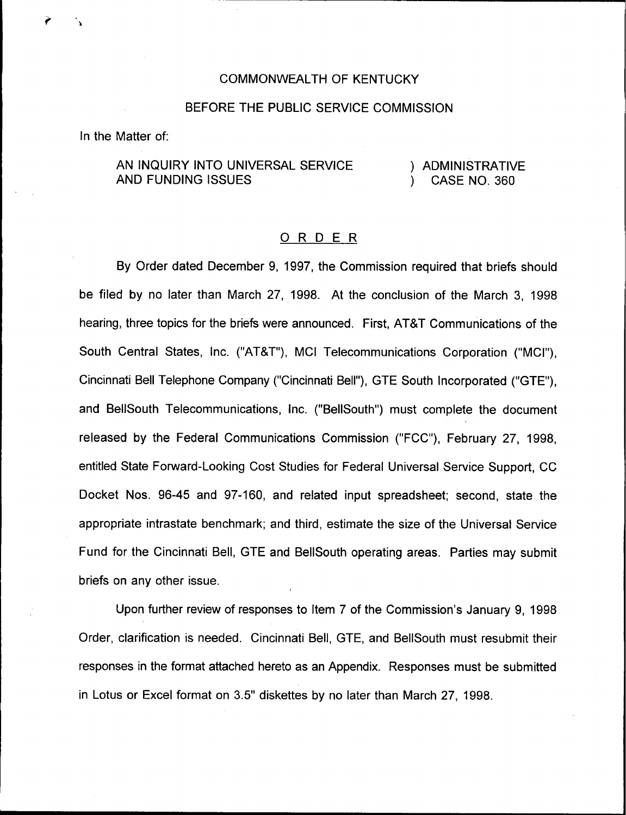## COMMONWEALTH OF KENTUCKY

## BEFORE THE PUBLIC SERVICE COMMISSION

In the Matter of:

AN INQUIRY INTO UNIVERSAL SERVICE AND FUNDING ISSUES

) ADMINISTRATIVE<br>) CASE NO 360 ) CASE NO. 360

## ORDER

By Order dated December 9, 1997, the Commission required that briefs should be filed by no later than March 27, 1998. At the conclusion of the March 3, 1998 hearing, three topics for the briefs were announced. First, AT8T Communications of the South Central States, Inc. ("ATBT"), MCI Telecommunications Corporation ("MCI"), Cincinnati Bell Telephone Company ("Cincinnati Bell"), GTE South Incorporated ("GTE"), and BellSouth Telecommunications, Inc. ("BellSouth") must complete the document released by the Federal Communications Commission ("FCC"), February 27, 1998, entitled State Forward-Looking Cost Studies for Federal Universal Service Support, CC Docket Nos. 96-45 and 97-160, and related input spreadsheet; second, state the appropriate intrastate benchmark; and third, estimate the size of the Universal Service Fund for the Cincinnati Bell, GTE and BellSouth operating areas. Parties may submit briefs on any other issue.

Upon further review of responses to Item 7 of the Commission's January 9, 1998 Order, clarification is needed. Cincinnati Bell, GTE, and BelISouth must resubmit their responses in the format attached hereto as an Appendix. Responses must be submitted in Lotus or Excel format on 3.5" diskettes by no later than March 27, 1998.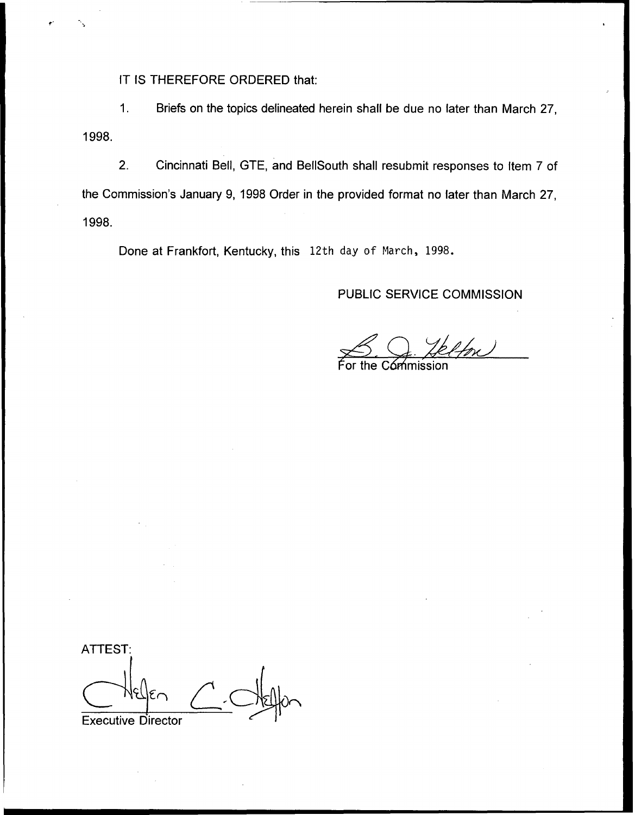IT IS THEREFORE ORDERED that:

 $1.$ Briefs on the topics delineated herein shall be due no later than March 27, 1998.

2. Cincinnati Bell, GTE, and BellSouth shall resubmit responses to Item 7 of the Commission's January 9, 1998 Order in the provided format no later than March 27, 1998.

Done at Frankfort, Kentucky, this 12th day of March, 1998.

## PUBLIC SERVICE COMMISSION

the Cómmission

ATTEST: Executive Director